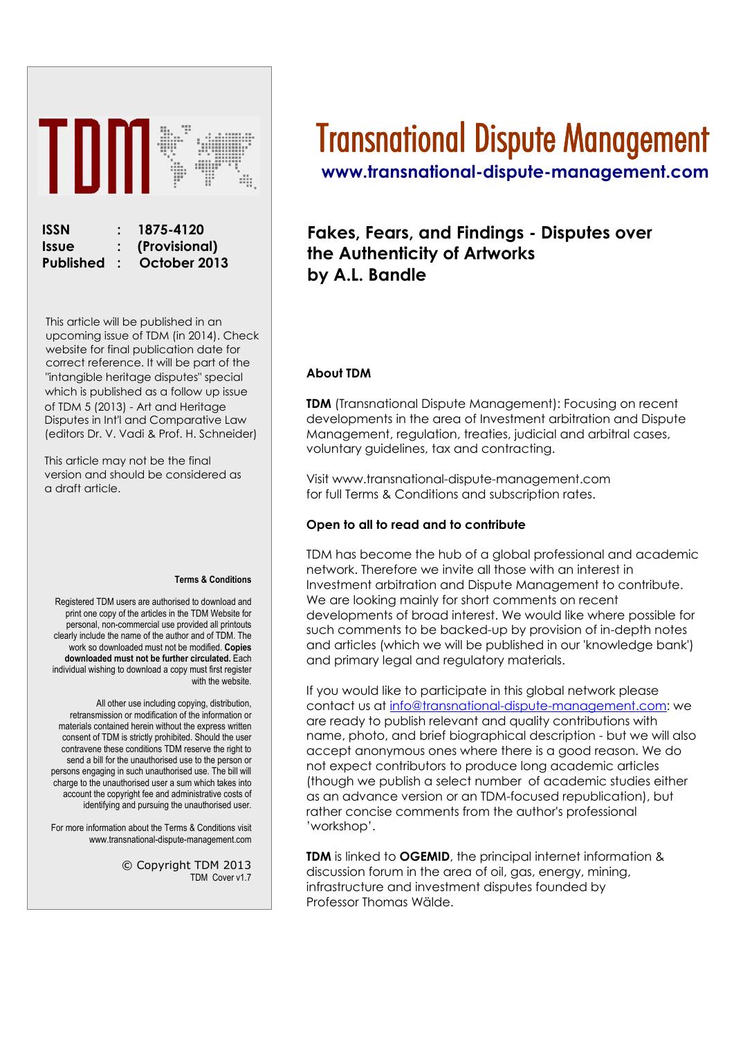## M **ISSN 1875-4120 : Issue (Provisional) :**

**: Published 2013** 

 (editors Dr. V. Vadi & Prof. H. Schneider) This article will be published in an upcoming issue of TDM (in 2014). Check website for final publication date for correct reference. It will be part of the "intangible heritage disputes" special which is published as a follow up issue of TDM 5 (2013) - Art and Heritage | Disputes in Int'l and Comparative Law

> This article may not be the final version and should be considered as a draft article.

#### **Terms & Conditions**

Registered TDM users are authorised to download and print one copy of the articles in the TDM Website for personal, non-commercial use provided all printouts clearly include the name of the author and of TDM. The work so downloaded must not be modified. Copies downloaded must not be further circulated. Each individual wishing to download a copy must first register with the website

All other use including copying, distribution, retransmission or modification of the information or materials contained herein without the express written consent of TDM is strictly prohibited. Should the user contravene these conditions TDM reserve the right to send a bill for the unauthorised use to the person or persons engaging in such unauthorised use. The bill will bersons engaging in such unauthonsed use. The bill will<br>charge to the unauthorised user a sum which takes into account the copyright fee and administrative costs of identifying and pursuing the unauthorised user.

For more information about the Terms & Conditions visit www.transnational-dispute-management.com<br>

 $\overline{a}$ 

 $@$  Copyright TDM 2013 TDM Cover v1.7

# Transnational Dispute Management

**www.transnational-dispute-management.com** 

## **Fakes, Fears, and Findings - Disputes over the Authenticity of Artworks by A.L. Bandle**

## **About TDM**

**TDM** (Transnational Dispute Management): Focusing on recent developments in the area of Investment arbitration and Dispute Management, regulation, treaties, judicial and arbitral cases, voluntary guidelines, tax and contracting.

Visit www.transnational-dispute-management.com for full Terms & Conditions and subscription rates.

## **Open to all to read and to contribute**

TDM has become the hub of a global professional and academic network. Therefore we invite all those with an interest in Investment arbitration and Dispute Management to contribute. We are looking mainly for short comments on recent developments of broad interest. We would like where possible for such comments to be backed-up by provision of in-depth notes and articles (which we will be published in our 'knowledge bank') and primary legal and regulatory materials.

If you would like to participate in this global network please contact us at info@transnational-dispute-management.com: we are ready to publish relevant and quality contributions with name, photo, and brief biographical description - but we will also accept anonymous ones where there is a good reason. We do not expect contributors to produce long academic articles (though we publish a select number of academic studies either as an advance version or an TDM-focused republication), but rather concise comments from the author's professional 'workshop'.

**TDM** is linked to **OGEMID**, the principal internet information & discussion forum in the area of oil, gas, energy, mining, infrastructure and investment disputes founded by Professor Thomas Wälde.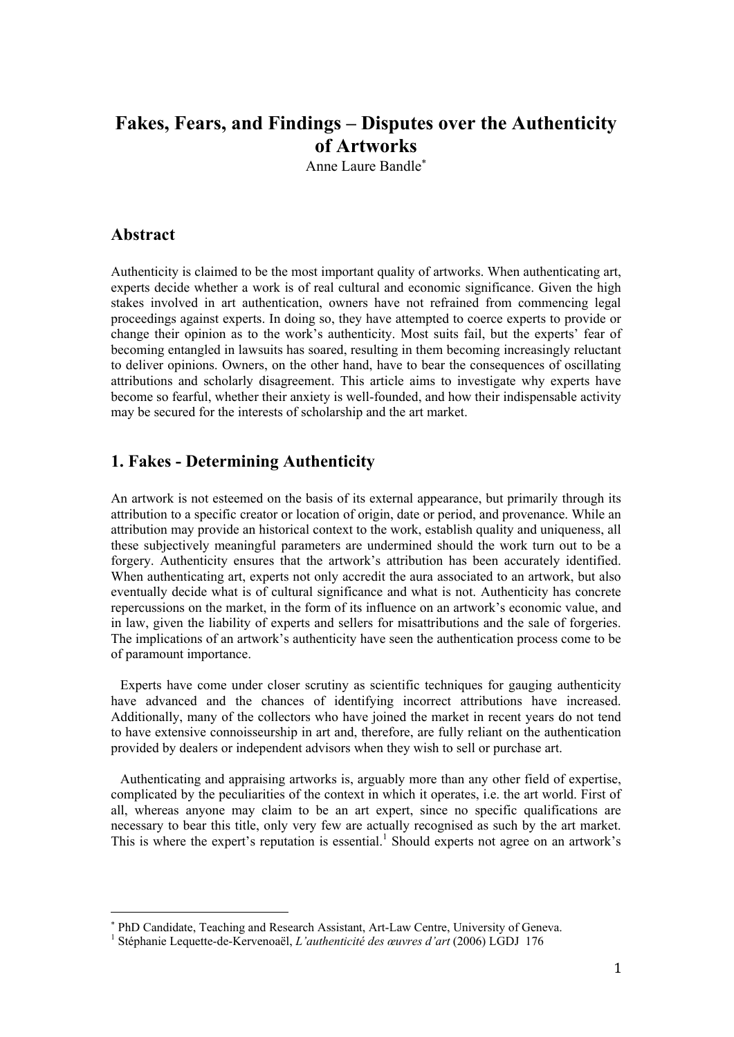## **Fakes, Fears, and Findings – Disputes over the Authenticity of Artworks**

Anne Laure Bandle

### **Abstract**

Authenticity is claimed to be the most important quality of artworks. When authenticating art, experts decide whether a work is of real cultural and economic significance. Given the high stakes involved in art authentication, owners have not refrained from commencing legal proceedings against experts. In doing so, they have attempted to coerce experts to provide or change their opinion as to the work's authenticity. Most suits fail, but the experts' fear of becoming entangled in lawsuits has soared, resulting in them becoming increasingly reluctant to deliver opinions. Owners, on the other hand, have to bear the consequences of oscillating attributions and scholarly disagreement. This article aims to investigate why experts have become so fearful, whether their anxiety is well-founded, and how their indispensable activity may be secured for the interests of scholarship and the art market.

## **1. Fakes - Determining Authenticity**

An artwork is not esteemed on the basis of its external appearance, but primarily through its attribution to a specific creator or location of origin, date or period, and provenance. While an attribution may provide an historical context to the work, establish quality and uniqueness, all these subjectively meaningful parameters are undermined should the work turn out to be a forgery. Authenticity ensures that the artwork's attribution has been accurately identified. When authenticating art, experts not only accredit the aura associated to an artwork, but also eventually decide what is of cultural significance and what is not. Authenticity has concrete repercussions on the market, in the form of its influence on an artwork's economic value, and in law, given the liability of experts and sellers for misattributions and the sale of forgeries. The implications of an artwork's authenticity have seen the authentication process come to be of paramount importance.

Experts have come under closer scrutiny as scientific techniques for gauging authenticity have advanced and the chances of identifying incorrect attributions have increased. Additionally, many of the collectors who have joined the market in recent years do not tend to have extensive connoisseurship in art and, therefore, are fully reliant on the authentication provided by dealers or independent advisors when they wish to sell or purchase art.

Authenticating and appraising artworks is, arguably more than any other field of expertise, complicated by the peculiarities of the context in which it operates, i.e. the art world. First of all, whereas anyone may claim to be an art expert, since no specific qualifications are necessary to bear this title, only very few are actually recognised as such by the art market. This is where the expert's reputation is essential.<sup>1</sup> Should experts not agree on an artwork's

<sup>\*</sup> PhD Candidate, Teaching and Research Assistant, Art-Law Centre, University of Geneva.

Stéphanie Lequette-de-Kervenoaël, *L'authenticité des œuvres d'art* (2006) LGDJ 176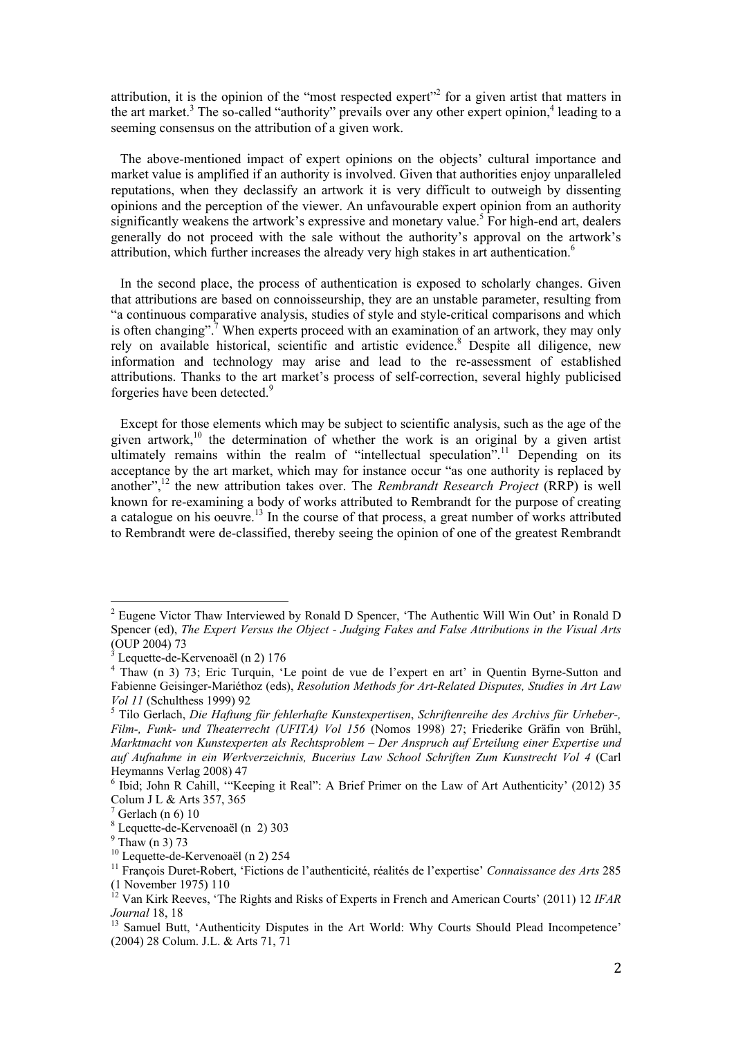attribution, it is the opinion of the "most respected expert"<sup>2</sup> for a given artist that matters in the art market.<sup>3</sup> The so-called "authority" prevails over any other expert opinion,<sup>4</sup> leading to a seeming consensus on the attribution of a given work.

The above-mentioned impact of expert opinions on the objects' cultural importance and market value is amplified if an authority is involved. Given that authorities enjoy unparalleled reputations, when they declassify an artwork it is very difficult to outweigh by dissenting opinions and the perception of the viewer. An unfavourable expert opinion from an authority significantly weakens the artwork's expressive and monetary value.<sup>5</sup> For high-end art, dealers generally do not proceed with the sale without the authority's approval on the artwork's attribution, which further increases the already very high stakes in art authentication.6

In the second place, the process of authentication is exposed to scholarly changes. Given that attributions are based on connoisseurship, they are an unstable parameter, resulting from "a continuous comparative analysis, studies of style and style-critical comparisons and which is often changing".<sup>7</sup> When experts proceed with an examination of an artwork, they may only rely on available historical, scientific and artistic evidence.<sup>8</sup> Despite all diligence, new information and technology may arise and lead to the re-assessment of established attributions. Thanks to the art market's process of self-correction, several highly publicised forgeries have been detected.<sup>9</sup>

Except for those elements which may be subject to scientific analysis, such as the age of the given artwork,<sup>10</sup> the determination of whether the work is an original by a given artist ultimately remains within the realm of "intellectual speculation".<sup>11</sup> Depending on its acceptance by the art market, which may for instance occur "as one authority is replaced by another",12 the new attribution takes over. The *Rembrandt Research Project* (RRP) is well known for re-examining a body of works attributed to Rembrandt for the purpose of creating a catalogue on his oeuvre.<sup>13</sup> In the course of that process, a great number of works attributed to Rembrandt were de-classified, thereby seeing the opinion of one of the greatest Rembrandt

<sup>&</sup>lt;sup>2</sup> Eugene Victor Thaw Interviewed by Ronald D Spencer, 'The Authentic Will Win Out' in Ronald D Spencer (ed), *The Expert Versus the Object - Judging Fakes and False Attributions in the Visual Arts*  (OUP 2004) 73

<sup>3</sup> Lequette-de-Kervenoaël (n 2) 176

Thaw (n 3) 73; Eric Turquin, 'Le point de vue de l'expert en art' in Quentin Byrne-Sutton and Fabienne Geisinger-Mariéthoz (eds), *Resolution Methods for Art-Related Disputes, Studies in Art Law Vol 11* (Schulthess 1999) 92

Tilo Gerlach, *Die Haftung für fehlerhafte Kunstexpertisen*, *Schriftenreihe des Archivs für Urheber-, Film-, Funk- und Theaterrecht (UFITA) Vol 156* (Nomos 1998) 27; Friederike Gräfin von Brühl, *Marktmacht von Kunstexperten als Rechtsproblem – Der Anspruch auf Erteilung einer Expertise und auf Aufnahme in ein Werkverzeichnis, Bucerius Law School Schriften Zum Kunstrecht Vol 4* (Carl Heymanns Verlag 2008) 47

<sup>&</sup>lt;sup>6</sup> Ibid; John R Cahill, "Keeping it Real": A Brief Primer on the Law of Art Authenticity' (2012) 35 Colum J L & Arts 357, 365

 $7$  Gerlach (n 6) 10

<sup>8</sup> Lequette-de-Kervenoaël (n 2) 303

 $<sup>9</sup>$  Thaw (n 3) 73</sup>

<sup>10</sup> Lequette-de-Kervenoaël (n 2) 254 11 François Duret-Robert, 'Fictions de l'authenticité, réalités de l'expertise' *Connaissance des Arts*<sup>285</sup> (1 November 1975) 110

<sup>12</sup> Van Kirk Reeves, 'The Rights and Risks of Experts in French and American Courts' (2011) 12 *IFAR Journal* 18, 18<br><sup>13</sup> Samuel Butt, 'Authenticity Disputes in the Art World: Why Courts Should Plead Incompetence'

<sup>(2004) 28</sup> Colum. J.L. & Arts 71, 71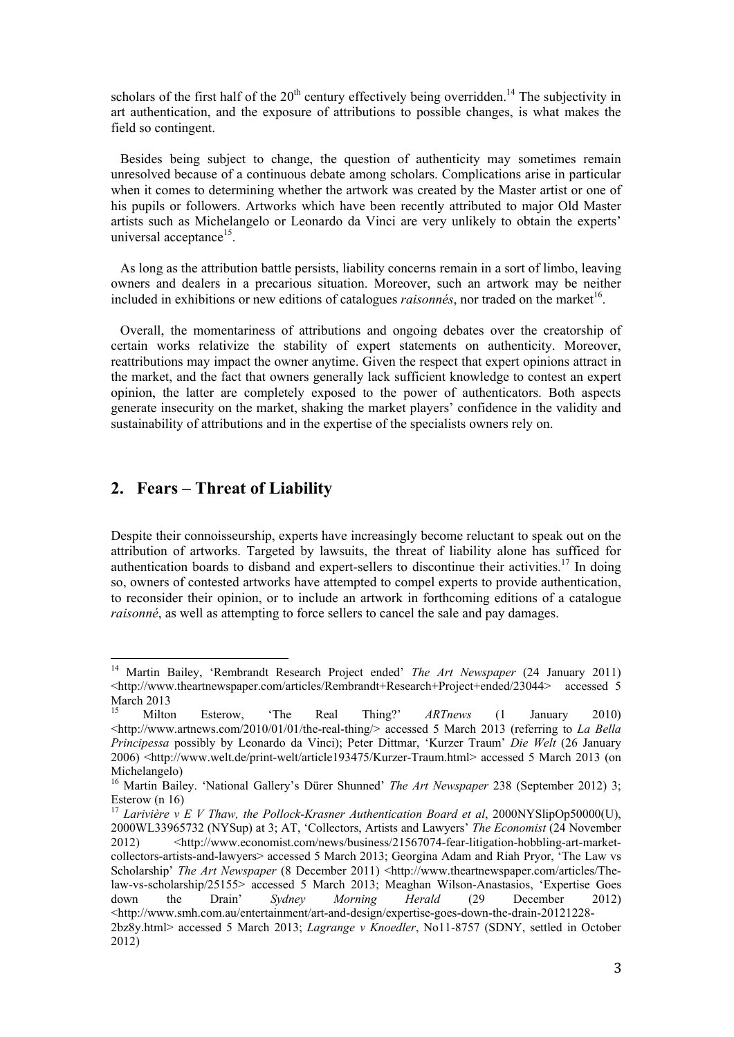scholars of the first half of the  $20<sup>th</sup>$  century effectively being overridden.<sup>14</sup> The subjectivity in art authentication, and the exposure of attributions to possible changes, is what makes the field so contingent.

Besides being subject to change, the question of authenticity may sometimes remain unresolved because of a continuous debate among scholars. Complications arise in particular when it comes to determining whether the artwork was created by the Master artist or one of his pupils or followers. Artworks which have been recently attributed to major Old Master artists such as Michelangelo or Leonardo da Vinci are very unlikely to obtain the experts' universal acceptance<sup>15</sup>.

As long as the attribution battle persists, liability concerns remain in a sort of limbo, leaving owners and dealers in a precarious situation. Moreover, such an artwork may be neither included in exhibitions or new editions of catalogues *raisonnés*, nor traded on the market<sup>16</sup>.

Overall, the momentariness of attributions and ongoing debates over the creatorship of certain works relativize the stability of expert statements on authenticity. Moreover, reattributions may impact the owner anytime. Given the respect that expert opinions attract in the market, and the fact that owners generally lack sufficient knowledge to contest an expert opinion, the latter are completely exposed to the power of authenticators. Both aspects generate insecurity on the market, shaking the market players' confidence in the validity and sustainability of attributions and in the expertise of the specialists owners rely on.

## **2. Fears – Threat of Liability**

Despite their connoisseurship, experts have increasingly become reluctant to speak out on the attribution of artworks. Targeted by lawsuits, the threat of liability alone has sufficed for authentication boards to disband and expert-sellers to discontinue their activities.17 In doing so, owners of contested artworks have attempted to compel experts to provide authentication, to reconsider their opinion, or to include an artwork in forthcoming editions of a catalogue *raisonné*, as well as attempting to force sellers to cancel the sale and pay damages.

<sup>14</sup> Martin Bailey, 'Rembrandt Research Project ended' *The Art Newspaper* (24 January 2011) <http://www.theartnewspaper.com/articles/Rembrandt+Research+Project+ended/23044> accessed 5 March 2013

<sup>15</sup> Milton Esterow, 'The Real Thing?' *ARTnews* (1 January 2010)  $\text{thtn:}}/$ www.artnews.com/2010/01/01/the-real-thing/> accessed 5 March 2013 (referring to *La Bella*) *Principessa* possibly by Leonardo da Vinci); Peter Dittmar, 'Kurzer Traum' *Die Welt* (26 January 2006) <http://www.welt.de/print-welt/article193475/Kurzer-Traum.html> accessed 5 March 2013 (on Michelangelo)

<sup>&</sup>lt;sup>16</sup> Martin Bailey. 'National Gallery's Dürer Shunned' *The Art Newspaper* 238 (September 2012) 3; Esterow (n 16)

<sup>&</sup>lt;sup>17</sup> Larivière v E V Thaw, the Pollock-Krasner Authentication Board et al, 2000NYSlipOp50000(U), 2000WL33965732 (NYSup) at 3; AT, 'Collectors, Artists and Lawyers' *The Economist* (24 November 2012)  $\langle \text{http://www.economist.com/news/business/21567074-fear-litigation-hobbling-art-market$ collectors-artists-and-lawyers> accessed 5 March 2013; Georgina Adam and Riah Pryor, 'The Law vs Scholarship' *The Art Newspaper* (8 December 2011) <http://www.theartnewspaper.com/articles/Thelaw-vs-scholarship/25155> accessed 5 March 2013; Meaghan Wilson-Anastasios, 'Expertise Goes down the Drain' *Sydney Morning Herald* (29 December 2012)  $\lt$ http://www.smh.com.au/entertainment/art-and-design/expertise-goes-down-the-drain-20121228-2bz8y.html> accessed 5 March 2013; *Lagrange v Knoedler*, No11-8757 (SDNY, settled in October

<sup>2012)</sup>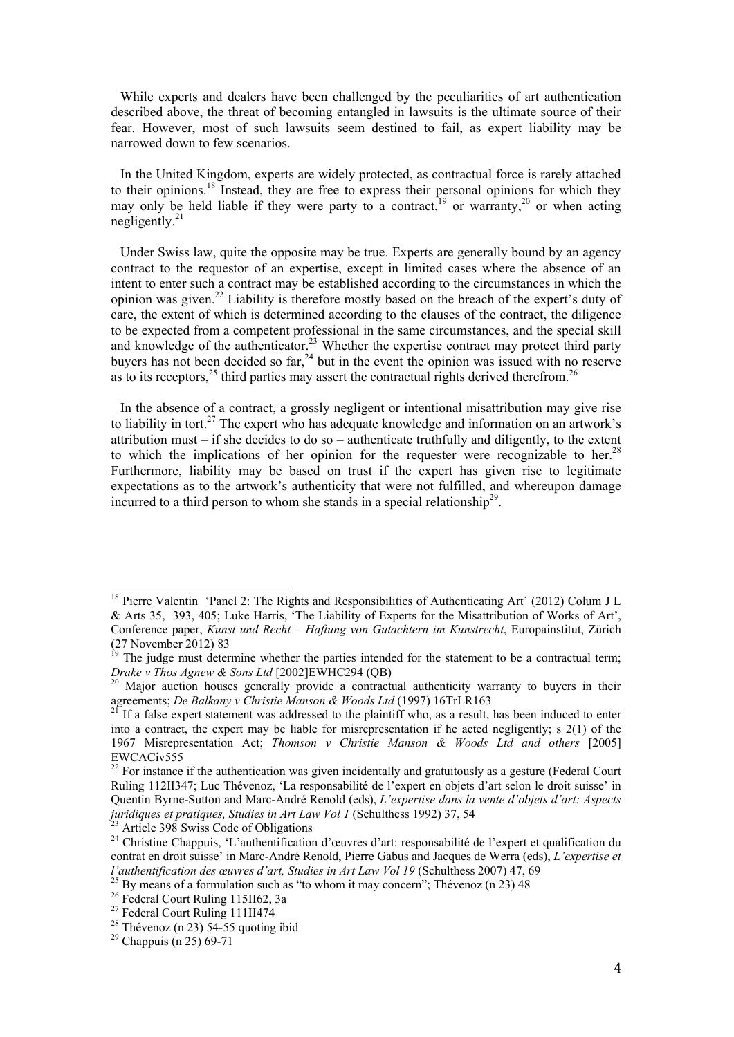While experts and dealers have been challenged by the peculiarities of art authentication described above, the threat of becoming entangled in lawsuits is the ultimate source of their fear. However, most of such lawsuits seem destined to fail, as expert liability may be narrowed down to few scenarios.

In the United Kingdom, experts are widely protected, as contractual force is rarely attached to their opinions.18 Instead, they are free to express their personal opinions for which they may only be held liable if they were party to a contract,<sup>19</sup> or warranty,<sup>20</sup> or when acting negligently.21

Under Swiss law, quite the opposite may be true. Experts are generally bound by an agency contract to the requestor of an expertise, except in limited cases where the absence of an intent to enter such a contract may be established according to the circumstances in which the opinion was given.22 Liability is therefore mostly based on the breach of the expert's duty of care, the extent of which is determined according to the clauses of the contract, the diligence to be expected from a competent professional in the same circumstances, and the special skill and knowledge of the authenticator.<sup>23</sup> Whether the expertise contract may protect third party buyers has not been decided so far,  $24$  but in the event the opinion was issued with no reserve as to its receptors,<sup>25</sup> third parties may assert the contractual rights derived therefrom.<sup>26</sup>

In the absence of a contract, a grossly negligent or intentional misattribution may give rise to liability in tort.<sup>27</sup> The expert who has adequate knowledge and information on an artwork's attribution must – if she decides to do so – authenticate truthfully and diligently, to the extent to which the implications of her opinion for the requester were recognizable to her.<sup>28</sup> Furthermore, liability may be based on trust if the expert has given rise to legitimate expectations as to the artwork's authenticity that were not fulfilled, and whereupon damage incurred to a third person to whom she stands in a special relationship<sup>29</sup>.

<sup>&</sup>lt;sup>18</sup> Pierre Valentin 'Panel 2: The Rights and Responsibilities of Authenticating Art' (2012) Colum J L & Arts 35, 393, 405; Luke Harris, 'The Liability of Experts for the Misattribution of Works of Art', Conference paper, *Kunst und Recht – Haftung von Gutachtern im Kunstrecht*, Europainstitut, Zürich (27 November 2012) 83

 $19$  The judge must determine whether the parties intended for the statement to be a contractual term; *Drake v Thos Agnew & Sons Ltd* [2002]EWHC294 (QB)<br><sup>20</sup> Major auction houses generally provide a contractual authenticity warranty to buyers in their

agreements; *De Balkany v Christie Manson & Woods Ltd* (1997) 16TrLR163<br><sup>21</sup> If a false expert statement was addressed to the plaintiff who, as a result, has been induced to enter

into a contract, the expert may be liable for misrepresentation if he acted negligently; s 2(1) of the 1967 Misrepresentation Act; *Thomson v Christie Manson & Woods Ltd and others* [2005] EWCACiv555

 $22$  For instance if the authentication was given incidentally and gratuitously as a gesture (Federal Court Ruling 112II347; Luc Thévenoz, 'La responsabilité de l'expert en objets d'art selon le droit suisse' in Quentin Byrne-Sutton and Marc-André Renold (eds), *L'expertise dans la vente d'objets d'art: Aspects juridiques et pratiques, Studies in Art Law Vol 1* (Schulthess 1992) 37, 54 23 Article 398 Swiss Code of Obligations

<sup>24</sup> Christine Chappuis, 'L'authentification d'œuvres d'art: responsabilité de l'expert et qualification du contrat en droit suisse' in Marc-André Renold, Pierre Gabus and Jacques de Werra (eds), *L'expertise et l'authentification des œuvres d'art, Studies in Art Law Vol 19* (Schulthess 2007) 47, 69<sup>25</sup> By means of a formulation such as "to whom it may concern"; Thévenoz (n 23) 48

<sup>&</sup>lt;sup>26</sup> Federal Court Ruling 115II62, 3a

<sup>&</sup>lt;sup>27</sup> Federal Court Ruling 111II474

 $28$  Thévenoz (n 23) 54-55 quoting ibid

<sup>&</sup>lt;sup>29</sup> Chappuis (n 25) 69-71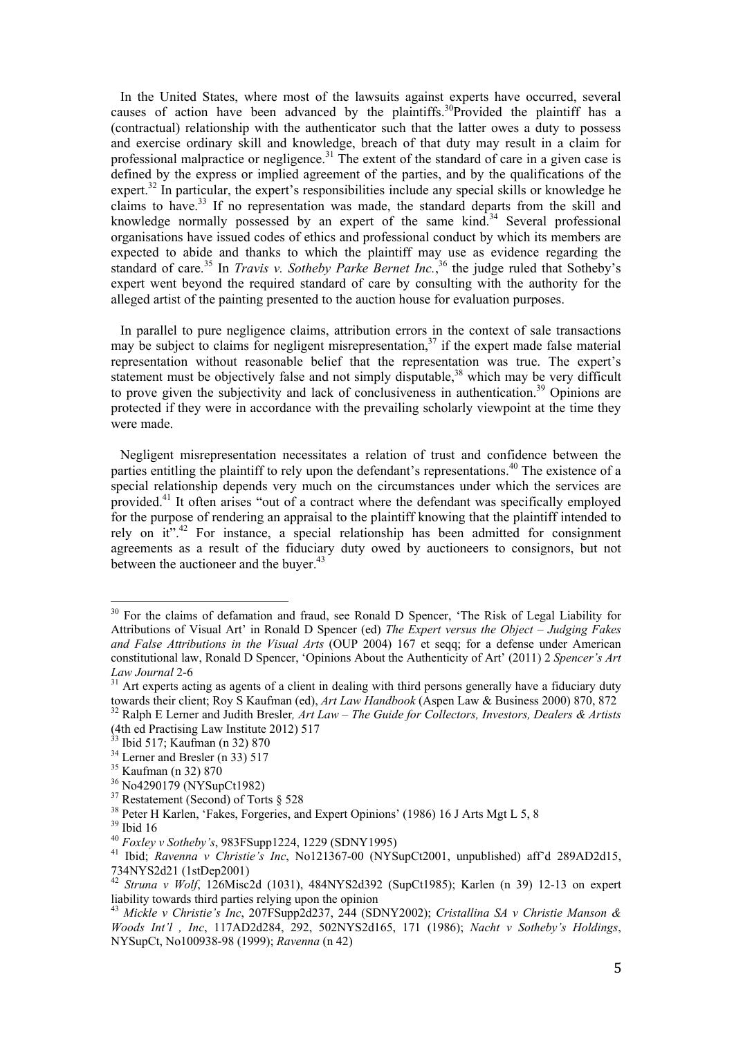In the United States, where most of the lawsuits against experts have occurred, several causes of action have been advanced by the plaintiffs.<sup>30</sup>Provided the plaintiff has a (contractual) relationship with the authenticator such that the latter owes a duty to possess and exercise ordinary skill and knowledge, breach of that duty may result in a claim for professional malpractice or negligence.<sup>31</sup> The extent of the standard of care in a given case is defined by the express or implied agreement of the parties, and by the qualifications of the expert.<sup>32</sup> In particular, the expert's responsibilities include any special skills or knowledge he claims to have.<sup>33</sup> If no representation was made, the standard departs from the skill and knowledge normally possessed by an expert of the same kind.<sup>34</sup> Several professional organisations have issued codes of ethics and professional conduct by which its members are expected to abide and thanks to which the plaintiff may use as evidence regarding the standard of care.<sup>35</sup> In *Travis v. Sotheby Parke Bernet Inc.*<sup>36</sup> the judge ruled that Sotheby's expert went beyond the required standard of care by consulting with the authority for the alleged artist of the painting presented to the auction house for evaluation purposes.

In parallel to pure negligence claims, attribution errors in the context of sale transactions may be subject to claims for negligent misrepresentation,<sup>37</sup> if the expert made false material representation without reasonable belief that the representation was true. The expert's statement must be objectively false and not simply disputable,<sup>38</sup> which may be very difficult to prove given the subjectivity and lack of conclusiveness in authentication.<sup>39</sup> Opinions are protected if they were in accordance with the prevailing scholarly viewpoint at the time they were made.

Negligent misrepresentation necessitates a relation of trust and confidence between the parties entitling the plaintiff to rely upon the defendant's representations.<sup>40</sup> The existence of a special relationship depends very much on the circumstances under which the services are provided.41 It often arises "out of a contract where the defendant was specifically employed for the purpose of rendering an appraisal to the plaintiff knowing that the plaintiff intended to rely on  $it^{1}$ .<sup>42</sup> For instance, a special relationship has been admitted for consignment agreements as a result of the fiduciary duty owed by auctioneers to consignors, but not between the auctioneer and the buyer.<sup>43</sup>

<sup>&</sup>lt;sup>30</sup> For the claims of defamation and fraud, see Ronald D Spencer, 'The Risk of Legal Liability for Attributions of Visual Art' in Ronald D Spencer (ed) *The Expert versus the Object – Judging Fakes and False Attributions in the Visual Arts* (OUP 2004) 167 et seqq; for a defense under American constitutional law, Ronald D Spencer, 'Opinions About the Authenticity of Art' (2011) 2 *Spencer's Art* 

<sup>&</sup>lt;sup>31</sup> Art experts acting as agents of a client in dealing with third persons generally have a fiduciary duty towards their client; Roy S Kaufman (ed), *Art Law Handbook* (Aspen Law & Business 2000) 870, 872 32 Ralph E Lerner and Judith Bresler*, Art Law – The Guide for Collectors, Investors, Dealers & Artists*

<sup>(4</sup>th ed Practising Law Institute 2012) 517

 $3$  Ibid 517; Kaufman (n 32) 870

<sup>&</sup>lt;sup>34</sup> Lerner and Bresler (n 33) 517

<sup>35</sup> Kaufman (n 32) 870

<sup>36</sup> No4290179 (NYSupCt1982)

 $37$  Restatement (Second) of Torts § 528

<sup>&</sup>lt;sup>38</sup> Peter H Karlen, 'Fakes, Forgeries, and Expert Opinions' (1986) 16 J Arts Mgt L 5, 8

<sup>&</sup>lt;sup>39</sup> Ibid 16<br><sup>40</sup> *Foxley v Sotheby's*, 983FSupp1224, 1229 (SDNY1995)

<sup>&</sup>lt;sup>41</sup> Ibid; *Ravenna v Christie's Inc*, No121367-00 (NYSupCt2001, unpublished) aff'd 289AD2d15, 734NYS2d21 (1stDep2001)

<sup>42</sup> *Struna v Wolf*, 126Misc2d (1031), 484NYS2d392 (SupCt1985); Karlen (n 39) 12-13 on expert liability towards third parties relying upon the opinion

<sup>43</sup> *Mickle v Christie's Inc*, 207FSupp2d237, 244 (SDNY2002); *Cristallina SA v Christie Manson & Woods Int'l , Inc*, 117AD2d284, 292, 502NYS2d165, 171 (1986); *Nacht v Sotheby's Holdings*, NYSupCt, No100938-98 (1999); *Ravenna* (n 42)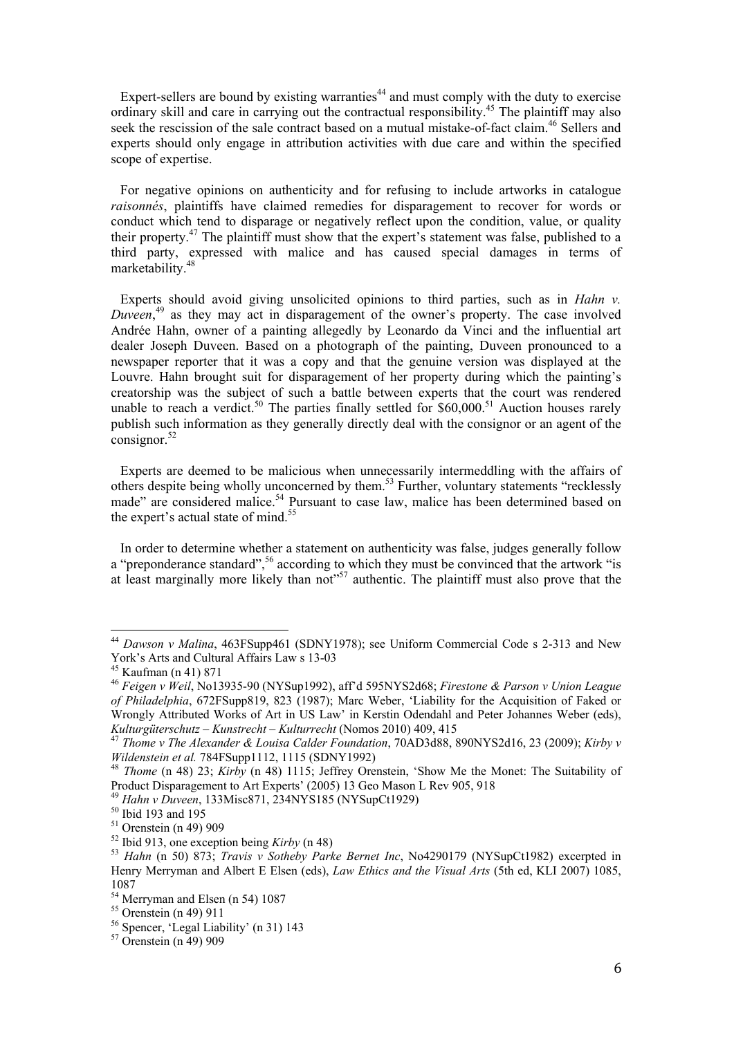Expert-sellers are bound by existing warranties<sup>44</sup> and must comply with the duty to exercise ordinary skill and care in carrying out the contractual responsibility.45 The plaintiff may also seek the rescission of the sale contract based on a mutual mistake-of-fact claim.<sup>46</sup> Sellers and experts should only engage in attribution activities with due care and within the specified scope of expertise.

For negative opinions on authenticity and for refusing to include artworks in catalogue *raisonnés*, plaintiffs have claimed remedies for disparagement to recover for words or conduct which tend to disparage or negatively reflect upon the condition, value, or quality their property.47 The plaintiff must show that the expert's statement was false, published to a third party, expressed with malice and has caused special damages in terms of marketability.48

Experts should avoid giving unsolicited opinions to third parties, such as in *Hahn v. Duveen*, 49 as they may act in disparagement of the owner's property. The case involved Andrée Hahn, owner of a painting allegedly by Leonardo da Vinci and the influential art dealer Joseph Duveen. Based on a photograph of the painting, Duveen pronounced to a newspaper reporter that it was a copy and that the genuine version was displayed at the Louvre. Hahn brought suit for disparagement of her property during which the painting's creatorship was the subject of such a battle between experts that the court was rendered unable to reach a verdict.<sup>50</sup> The parties finally settled for  $$60,000$ .<sup>51</sup> Auction houses rarely publish such information as they generally directly deal with the consignor or an agent of the consignor. $52$ 

Experts are deemed to be malicious when unnecessarily intermeddling with the affairs of others despite being wholly unconcerned by them.53 Further, voluntary statements "recklessly made" are considered malice.<sup>54</sup> Pursuant to case law, malice has been determined based on the expert's actual state of mind.<sup>55</sup>

In order to determine whether a statement on authenticity was false, judges generally follow a "preponderance standard",<sup>56</sup> according to which they must be convinced that the artwork "is at least marginally more likely than not<sup>57</sup> authentic. The plaintiff must also prove that the

<sup>44</sup> *Dawson v Malina*, 463FSupp461 (SDNY1978); see Uniform Commercial Code s 2-313 and New York's Arts and Cultural Affairs Law s 13-03 45 Kaufman (n 41) 871

<sup>46</sup> *Feigen v Weil*, No13935-90 (NYSup1992), aff'd 595NYS2d68; *Firestone & Parson v Union League of Philadelphia*, 672FSupp819, 823 (1987); Marc Weber, 'Liability for the Acquisition of Faked or Wrongly Attributed Works of Art in US Law' in Kerstin Odendahl and Peter Johannes Weber (eds), *Kulturgüterschutz – Kunstrecht – Kulturrecht* (Nomos 2010) 409, 415 47 *Thome v The Alexander & Louisa Calder Foundation*, 70AD3d88, 890NYS2d16, 23 (2009); *Kirby v* 

*Wildenstein et al.* 784FSupp1112, 1115 (SDNY1992)<br><sup>48</sup> *Thome* (n 48) 23; *Kirby* (n 48) 1115; Jeffrey Orenstein, 'Show Me the Monet: The Suitability of

Product Disparagement to Art Experts' (2005) 13 Geo Mason L Rev 905, 918

<sup>&</sup>lt;sup>49</sup> *Hahn v Duveen*, 133Misc871, 234NYS185 (NYSupCt1929)<br><sup>50</sup> Ibid 193 and 195

<sup>&</sup>lt;sup>51</sup> Orenstein (n 49) 909<br><sup>52</sup> Ibid 913, one exception being *Kirby* (n 48)

<sup>&</sup>lt;sup>53</sup> Hahn (n 50) 873; *Travis v Sotheby Parke Bernet Inc*, No4290179 (NYSupCt1982) excerpted in Henry Merryman and Albert E Elsen (eds), *Law Ethics and the Visual Arts* (5th ed, KLI 2007) 1085, 1087

<sup>&</sup>lt;sup>54</sup> Merryman and Elsen (n 54) 1087

 $55$  Orenstein (n 49) 911

<sup>56</sup> Spencer, 'Legal Liability' (n 31) 143

<sup>57</sup> Orenstein (n 49) 909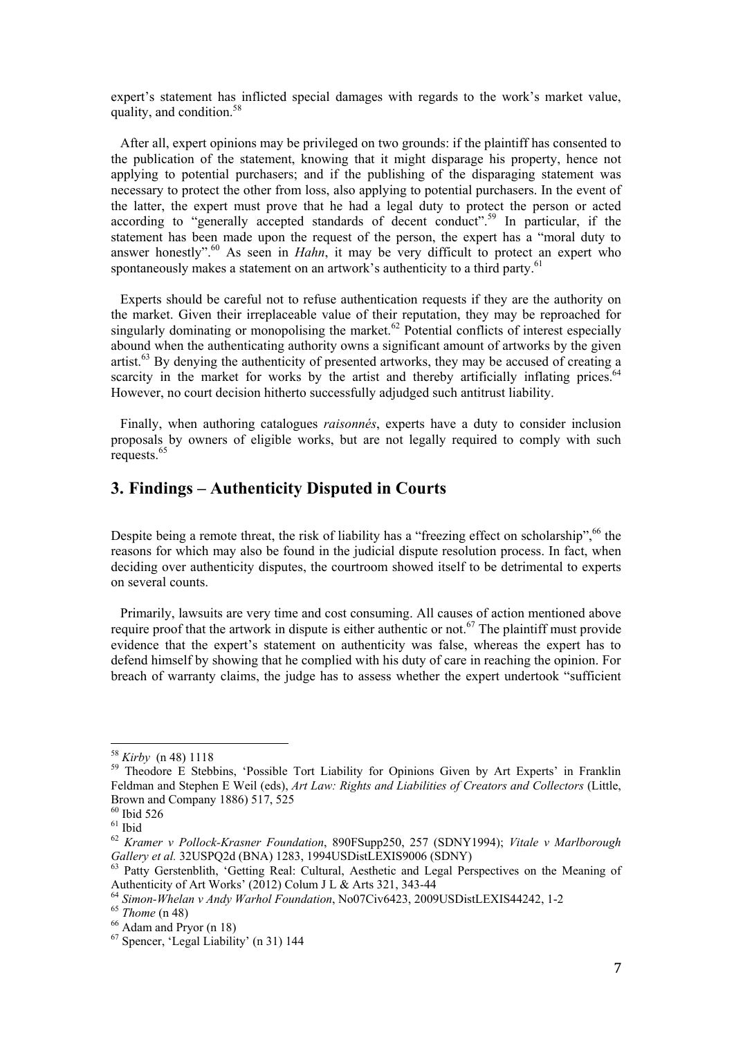expert's statement has inflicted special damages with regards to the work's market value, quality, and condition.<sup>58</sup>

After all, expert opinions may be privileged on two grounds: if the plaintiff has consented to the publication of the statement, knowing that it might disparage his property, hence not applying to potential purchasers; and if the publishing of the disparaging statement was necessary to protect the other from loss, also applying to potential purchasers. In the event of the latter, the expert must prove that he had a legal duty to protect the person or acted according to "generally accepted standards of decent conduct".<sup>59</sup> In particular, if the statement has been made upon the request of the person, the expert has a "moral duty to answer honestly".<sup>60</sup> As seen in *Hahn*, it may be very difficult to protect an expert who spontaneously makes a statement on an artwork's authenticity to a third party.<sup>61</sup>

Experts should be careful not to refuse authentication requests if they are the authority on the market. Given their irreplaceable value of their reputation, they may be reproached for singularly dominating or monopolising the market.<sup>62</sup> Potential conflicts of interest especially abound when the authenticating authority owns a significant amount of artworks by the given artist.63 By denying the authenticity of presented artworks, they may be accused of creating a scarcity in the market for works by the artist and thereby artificially inflating prices.<sup>64</sup> However, no court decision hitherto successfully adjudged such antitrust liability.

Finally, when authoring catalogues *raisonnés*, experts have a duty to consider inclusion proposals by owners of eligible works, but are not legally required to comply with such requests.<sup>65</sup>

## **3. Findings – Authenticity Disputed in Courts**

Despite being a remote threat, the risk of liability has a "freezing effect on scholarship", <sup>66</sup> the reasons for which may also be found in the judicial dispute resolution process. In fact, when deciding over authenticity disputes, the courtroom showed itself to be detrimental to experts on several counts.

Primarily, lawsuits are very time and cost consuming. All causes of action mentioned above require proof that the artwork in dispute is either authentic or not.<sup>67</sup> The plaintiff must provide evidence that the expert's statement on authenticity was false, whereas the expert has to defend himself by showing that he complied with his duty of care in reaching the opinion. For breach of warranty claims, the judge has to assess whether the expert undertook "sufficient

<sup>&</sup>lt;sup>58</sup> *Kirby* (n 48) 1118<br><sup>59</sup> Theodore E Stebbins, 'Possible Tort Liability for Opinions Given by Art Experts' in Franklin Feldman and Stephen E Weil (eds), *Art Law: Rights and Liabilities of Creators and Collectors* (Little, Brown and Company 1886) 517, 525

 $60$  Ibid 526

 $61$  Ibid

<sup>62</sup> *Kramer v Pollock-Krasner Foundation*, 890FSupp250, 257 (SDNY1994); *Vitale v Marlborough* 

<sup>&</sup>lt;sup>63</sup> Patty Gerstenblith, 'Getting Real: Cultural, Aesthetic and Legal Perspectives on the Meaning of Authenticity of Art Works' (2012) Colum J L & Arts 321, 343-44

<sup>&</sup>lt;sup>64</sup> Simon-Whelan v Andy Warhol Foundation, No07Civ6423, 2009USDistLEXIS44242, 1-2<br><sup>65</sup> *Thome* (n 48)<br><sup>66</sup> Adam and Pryor (n 18)

<sup>67</sup> Spencer, 'Legal Liability' (n 31) 144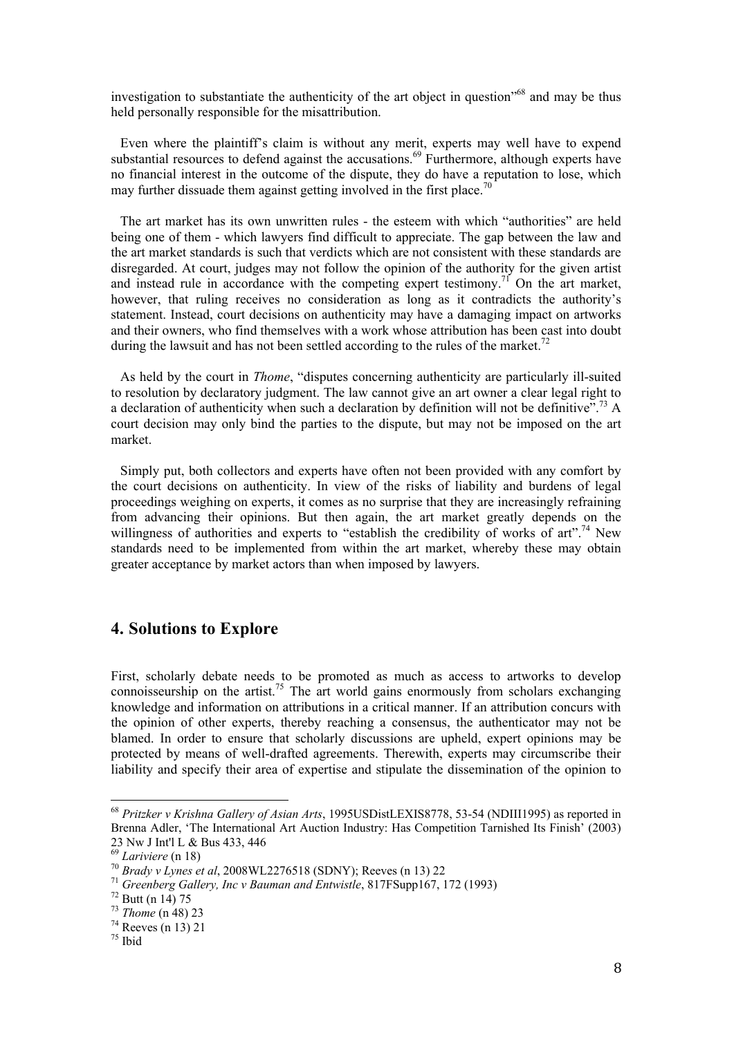investigation to substantiate the authenticity of the art object in question"68 and may be thus held personally responsible for the misattribution.

Even where the plaintiff's claim is without any merit, experts may well have to expend substantial resources to defend against the accusations.<sup>69</sup> Furthermore, although experts have no financial interest in the outcome of the dispute, they do have a reputation to lose, which may further dissuade them against getting involved in the first place.<sup>70</sup>

The art market has its own unwritten rules - the esteem with which "authorities" are held being one of them - which lawyers find difficult to appreciate. The gap between the law and the art market standards is such that verdicts which are not consistent with these standards are disregarded. At court, judges may not follow the opinion of the authority for the given artist and instead rule in accordance with the competing expert testimony.<sup>71</sup> On the art market, however, that ruling receives no consideration as long as it contradicts the authority's statement. Instead, court decisions on authenticity may have a damaging impact on artworks and their owners, who find themselves with a work whose attribution has been cast into doubt during the lawsuit and has not been settled according to the rules of the market.<sup>72</sup>

As held by the court in *Thome*, "disputes concerning authenticity are particularly ill-suited to resolution by declaratory judgment. The law cannot give an art owner a clear legal right to a declaration of authenticity when such a declaration by definition will not be definitive".<sup>73</sup> A court decision may only bind the parties to the dispute, but may not be imposed on the art market.

Simply put, both collectors and experts have often not been provided with any comfort by the court decisions on authenticity. In view of the risks of liability and burdens of legal proceedings weighing on experts, it comes as no surprise that they are increasingly refraining from advancing their opinions. But then again, the art market greatly depends on the willingness of authorities and experts to "establish the credibility of works of art".<sup>74</sup> New standards need to be implemented from within the art market, whereby these may obtain greater acceptance by market actors than when imposed by lawyers.

## **4. Solutions to Explore**

First, scholarly debate needs to be promoted as much as access to artworks to develop connoisseurship on the artist.<sup>75</sup> The art world gains enormously from scholars exchanging knowledge and information on attributions in a critical manner. If an attribution concurs with the opinion of other experts, thereby reaching a consensus, the authenticator may not be blamed. In order to ensure that scholarly discussions are upheld, expert opinions may be protected by means of well-drafted agreements. Therewith, experts may circumscribe their liability and specify their area of expertise and stipulate the dissemination of the opinion to

<sup>68</sup> *Pritzker v Krishna Gallery of Asian Arts*, 1995USDistLEXIS8778, 53-54 (NDIII1995) as reported in Brenna Adler, 'The International Art Auction Industry: Has Competition Tarnished Its Finish' (2003) 23 Nw J Int'l L & Bus 433, 446<br><sup>69</sup> Lariviere (n 18)

<sup>&</sup>lt;sup>70</sup> *Brady v Lynes et al*, 2008WL2276518 (SDNY); Reeves (n 13) 22<br><sup>71</sup> *Greenberg Gallery, Inc v Bauman and Entwistle*, 817FSupp167, 172 (1993) <sup>72</sup> Butt (n 14) 75

<sup>73</sup> *Thome* (n 48) 23 74 Reeves (n 13) 21

 $75$  Ibid